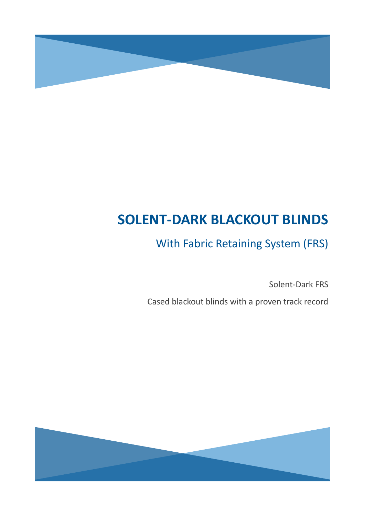

# **SOLENT-DARK BLACKOUT BLINDS**

## With Fabric Retaining System (FRS)

Solent-Dark FRS

Cased blackout blinds with a proven track record

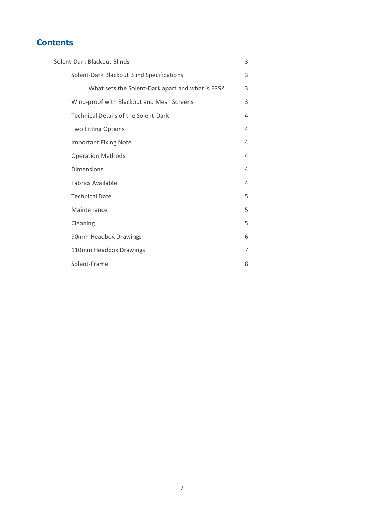## **Contents**

| Solent-Dark Blackout Blinds |                                                  | 3              |
|-----------------------------|--------------------------------------------------|----------------|
|                             | Solent-Dark Blackout Blind Specifications        | 3              |
|                             | What sets the Solent-Dark apart and what is FRS? | 3              |
|                             | Wind-proof with Blackout and Mesh Screens        | 3              |
|                             | <b>Technical Details of the Solent-Dark</b>      | 4              |
|                             | <b>Two Fitting Options</b>                       | 4              |
|                             | <b>Important Fixing Note</b>                     | 4              |
|                             | <b>Operation Methods</b>                         | $\overline{4}$ |
|                             | <b>Dimensions</b>                                | 4              |
|                             | <b>Fabrics Available</b>                         | 4              |
|                             | <b>Technical Date</b>                            | 5              |
|                             | Maintenance                                      | 5              |
|                             | Cleaning                                         | 5              |
|                             | 90mm Headbox Drawings                            | 6              |
|                             | 110mm Headbox Drawings                           | 7              |
|                             | Solent-Frame                                     | 8              |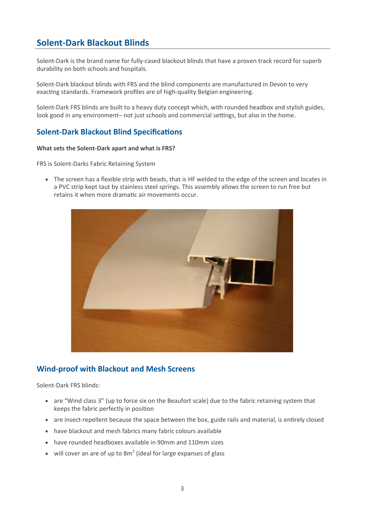## **Solent-Dark Blackout Blinds**

Solent-Dark is the brand name for fully-cased blackout blinds that have a proven track record for superb durability on both schools and hospitals.

Solent-Dark blackout blinds with FRS and the blind components are manufactured in Devon to very exacting standards. Framework profiles are of high-quality Belgian engineering.

Solent-Dark FRS blinds are built to a heavy duty concept which, with rounded headbox and stylish guides, look good in any environment– not just schools and commercial settings, but also in the home.

#### **Solent-Dark Blackout Blind Specifications**

#### **What sets the Solent-Dark apart and what is FRS?**

FRS is Solent-Darks Fabric Retaining System

 The screen has a flexible strip with beads, that is HF welded to the edge of the screen and locates in a PVC strip kept taut by stainless steel springs. This assembly allows the screen to run free but retains it when more dramatic air movements occur.



#### **Wind-proof with Blackout and Mesh Screens**

Solent-Dark FRS blinds:

- are "Wind class 3" (up to force six on the Beaufort scale) due to the fabric retaining system that keeps the fabric perfectly in position
- are insect-repellent because the space between the box, guide rails and material, is entirely closed
- have blackout and mesh fabrics many fabric colours available
- have rounded headboxes available in 90mm and 110mm sizes
- will cover an are of up to 8 $m^2$  (ideal for large expanses of glass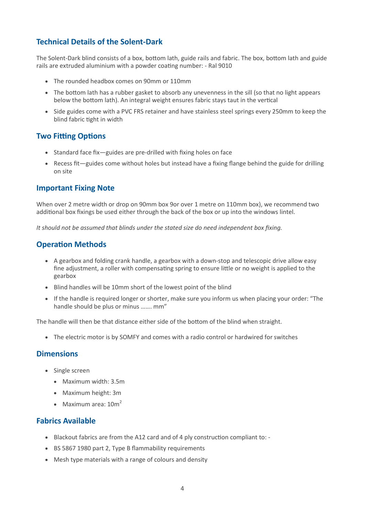#### **Technical Details of the Solent-Dark**

The Solent-Dark blind consists of a box, bottom lath, guide rails and fabric. The box, bottom lath and guide rails are extruded aluminium with a powder coating number: - Ral 9010

- The rounded headbox comes on 90mm or 110mm
- The bottom lath has a rubber gasket to absorb any unevenness in the sill (so that no light appears below the bottom lath). An integral weight ensures fabric stays taut in the vertical
- Side guides come with a PVC FRS retainer and have stainless steel springs every 250mm to keep the blind fabric tight in width

#### **Two Fitting Options**

- Standard face fix—guides are pre-drilled with fixing holes on face
- Recess fit—guides come without holes but instead have a fixing flange behind the guide for drilling on site

#### **Important Fixing Note**

When over 2 metre width or drop on 90mm box 9or over 1 metre on 110mm box), we recommend two additional box fixings be used either through the back of the box or up into the windows lintel.

*It should not be assumed that blinds under the stated size do need independent box fixing.*

#### **Operation Methods**

- A gearbox and folding crank handle, a gearbox with a down-stop and telescopic drive allow easy fine adjustment, a roller with compensating spring to ensure little or no weight is applied to the gearbox
- Blind handles will be 10mm short of the lowest point of the blind
- If the handle is required longer or shorter, make sure you inform us when placing your order: "The handle should be plus or minus ……. mm"

The handle will then be that distance either side of the bottom of the blind when straight.

• The electric motor is by SOMFY and comes with a radio control or hardwired for switches

#### **Dimensions**

- Single screen
	- Maximum width: 3.5m
	- Maximum height: 3m
	- $\bullet$  Maximum area: 10m<sup>2</sup>

#### **Fabrics Available**

- Blackout fabrics are from the A12 card and of 4 ply construction compliant to: -
- BS 5867 1980 part 2, Type B flammability requirements
- Mesh type materials with a range of colours and density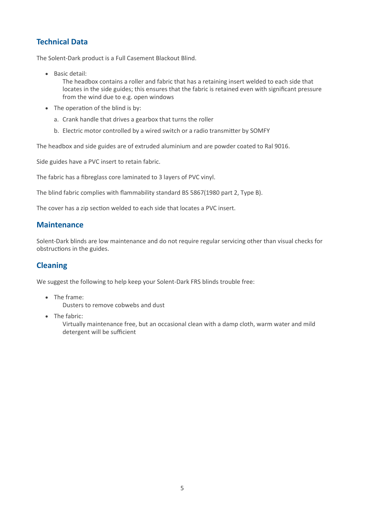#### **Technical Data**

The Solent-Dark product is a Full Casement Blackout Blind.

• Basic detail:

The headbox contains a roller and fabric that has a retaining insert welded to each side that locates in the side guides; this ensures that the fabric is retained even with significant pressure from the wind due to e.g. open windows

- The operation of the blind is by:
	- a. Crank handle that drives a gearbox that turns the roller
	- b. Electric motor controlled by a wired switch or a radio transmitter by SOMFY

The headbox and side guides are of extruded aluminium and are powder coated to Ral 9016.

Side guides have a PVC insert to retain fabric.

The fabric has a fibreglass core laminated to 3 layers of PVC vinyl.

The blind fabric complies with flammability standard BS 5867(1980 part 2, Type B).

The cover has a zip section welded to each side that locates a PVC insert.

#### **Maintenance**

Solent-Dark blinds are low maintenance and do not require regular servicing other than visual checks for obstructions in the guides.

#### **Cleaning**

We suggest the following to help keep your Solent-Dark FRS blinds trouble free:

- The frame:
	- Dusters to remove cobwebs and dust
- The fabric:

Virtually maintenance free, but an occasional clean with a damp cloth, warm water and mild detergent will be sufficient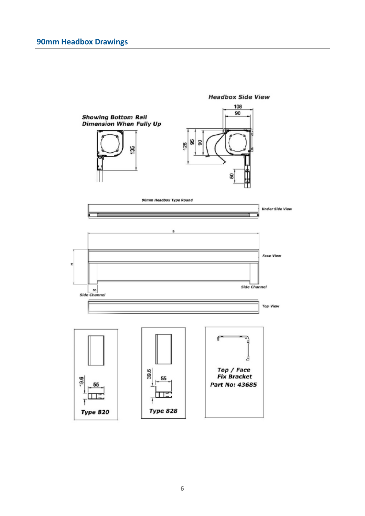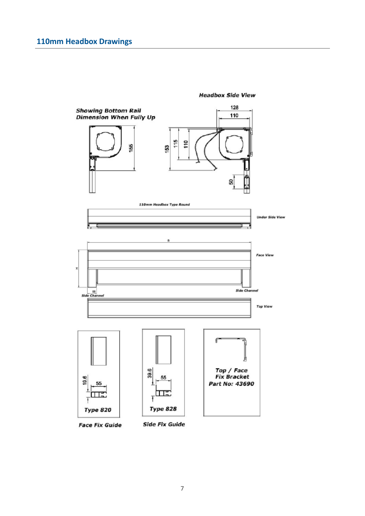

**Headbox Side View**